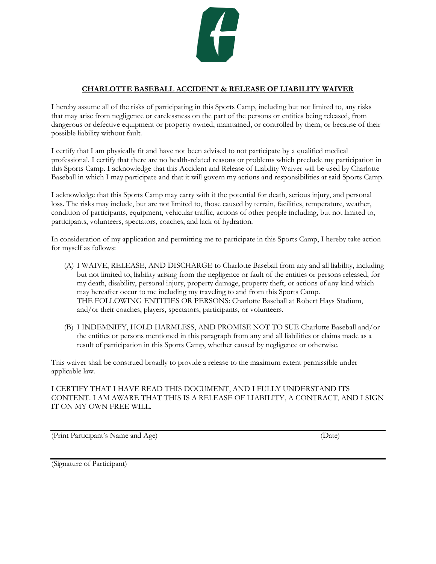

## **CHARLOTTE BASEBALL ACCIDENT & RELEASE OF LIABILITY WAIVER**

I hereby assume all of the risks of participating in this Sports Camp, including but not limited to, any risks that may arise from negligence or carelessness on the part of the persons or entities being released, from dangerous or defective equipment or property owned, maintained, or controlled by them, or because of their possible liability without fault.

I certify that I am physically fit and have not been advised to not participate by a qualified medical professional. I certify that there are no health-related reasons or problems which preclude my participation in this Sports Camp. I acknowledge that this Accident and Release of Liability Waiver will be used by Charlotte Baseball in which I may participate and that it will govern my actions and responsibilities at said Sports Camp.

I acknowledge that this Sports Camp may carry with it the potential for death, serious injury, and personal loss. The risks may include, but are not limited to, those caused by terrain, facilities, temperature, weather, condition of participants, equipment, vehicular traffic, actions of other people including, but not limited to, participants, volunteers, spectators, coaches, and lack of hydration.

In consideration of my application and permitting me to participate in this Sports Camp, I hereby take action for myself as follows:

- (A) I WAIVE, RELEASE, AND DISCHARGE to Charlotte Baseball from any and all liability, including but not limited to, liability arising from the negligence or fault of the entities or persons released, for my death, disability, personal injury, property damage, property theft, or actions of any kind which may hereafter occur to me including my traveling to and from this Sports Camp. THE FOLLOWING ENTITIES OR PERSONS: Charlotte Baseball at Robert Hays Stadium, and/or their coaches, players, spectators, participants, or volunteers.
- (B) I INDEMNIFY, HOLD HARMLESS, AND PROMISE NOT TO SUE Charlotte Baseball and/or the entities or persons mentioned in this paragraph from any and all liabilities or claims made as a result of participation in this Sports Camp, whether caused by negligence or otherwise.

This waiver shall be construed broadly to provide a release to the maximum extent permissible under applicable law.

I CERTIFY THAT I HAVE READ THIS DOCUMENT, AND I FULLY UNDERSTAND ITS CONTENT. I AM AWARE THAT THIS IS A RELEASE OF LIABILITY, A CONTRACT, AND I SIGN IT ON MY OWN FREE WILL.

(Print Participant's Name and Age) (Date)

(Signature of Participant)